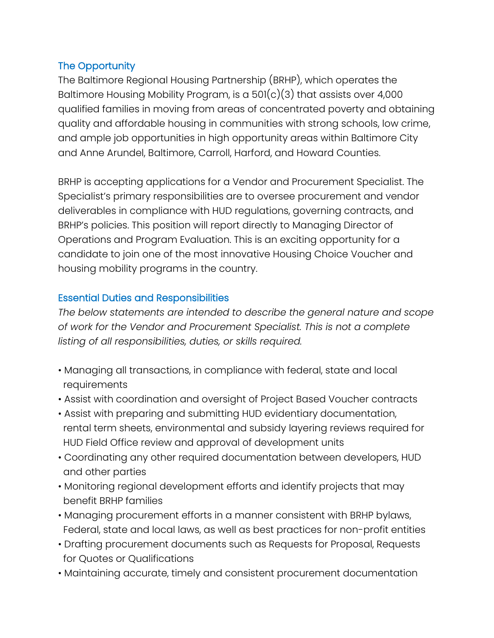# The Opportunity

The Baltimore Regional Housing Partnership (BRHP), which operates the Baltimore Housing Mobility Program, is a  $501(c)(3)$  that assists over 4,000 qualified families in moving from areas of concentrated poverty and obtaining quality and affordable housing in communities with strong schools, low crime, and ample job opportunities in high opportunity areas within Baltimore City and Anne Arundel, Baltimore, Carroll, Harford, and Howard Counties.

BRHP is accepting applications for a Vendor and Procurement Specialist. The Specialist's primary responsibilities are to oversee procurement and vendor deliverables in compliance with HUD regulations, governing contracts, and BRHP's policies. This position will report directly to Managing Director of Operations and Program Evaluation. This is an exciting opportunity for a candidate to join one of the most innovative Housing Choice Voucher and housing mobility programs in the country.

## Essential Duties and Responsibilities

*The below statements are intended to describe the general nature and scope of work for the Vendor and Procurement Specialist. This is not a complete listing of all responsibilities, duties, or skills required.*

- Managing all transactions, in compliance with federal, state and local requirements
- Assist with coordination and oversight of Project Based Voucher contracts
- Assist with preparing and submitting HUD evidentiary documentation, rental term sheets, environmental and subsidy layering reviews required for HUD Field Office review and approval of development units
- Coordinating any other required documentation between developers, HUD and other parties
- Monitoring regional development efforts and identify projects that may benefit BRHP families
- Managing procurement efforts in a manner consistent with BRHP bylaws, Federal, state and local laws, as well as best practices for non-profit entities
- Drafting procurement documents such as Requests for Proposal, Requests for Quotes or Qualifications
- Maintaining accurate, timely and consistent procurement documentation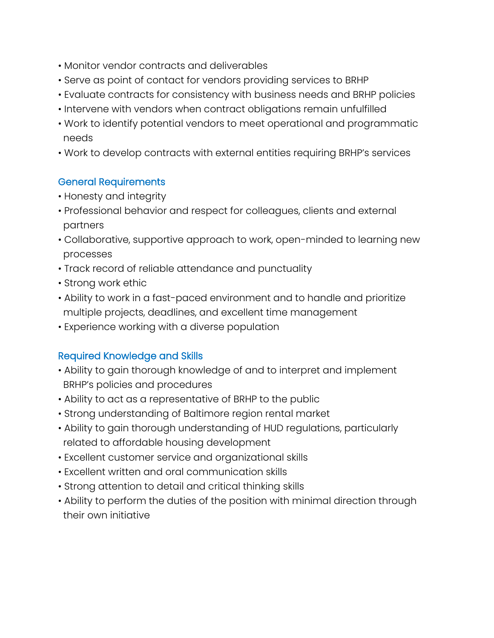- Monitor vendor contracts and deliverables
- Serve as point of contact for vendors providing services to BRHP
- Evaluate contracts for consistency with business needs and BRHP policies
- Intervene with vendors when contract obligations remain unfulfilled
- Work to identify potential vendors to meet operational and programmatic needs
- Work to develop contracts with external entities requiring BRHP's services

#### General Requirements

- Honesty and integrity
- Professional behavior and respect for colleagues, clients and external partners
- Collaborative, supportive approach to work, open-minded to learning new processes
- Track record of reliable attendance and punctuality
- Strong work ethic
- Ability to work in a fast-paced environment and to handle and prioritize multiple projects, deadlines, and excellent time management
- Experience working with a diverse population

#### Required Knowledge and Skills

- Ability to gain thorough knowledge of and to interpret and implement BRHP's policies and procedures
- Ability to act as a representative of BRHP to the public
- Strong understanding of Baltimore region rental market
- Ability to gain thorough understanding of HUD regulations, particularly related to affordable housing development
- Excellent customer service and organizational skills
- Excellent written and oral communication skills
- Strong attention to detail and critical thinking skills
- Ability to perform the duties of the position with minimal direction through their own initiative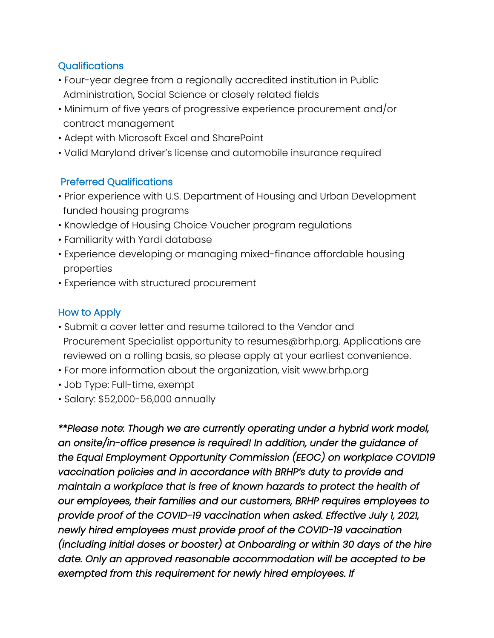# **Qualifications**

- Four-year degree from a regionally accredited institution in Public Administration, Social Science or closely related fields
- Minimum of five years of progressive experience procurement and/or contract management
- Adept with Microsoft Excel and SharePoint
- Valid Maryland driver's license and automobile insurance required

# Preferred Qualifications

- Prior experience with U.S. Department of Housing and Urban Development funded housing programs
- Knowledge of Housing Choice Voucher program regulations
- Familiarity with Yardi database
- Experience developing or managing mixed-finance affordable housing properties
- Experience with structured procurement

## How to Apply

- Submit a cover letter and resume tailored to the Vendor and Procurement Specialist opportunity to resumes@brhp.org. Applications are reviewed on a rolling basis, so please apply at your earliest convenience.
- For more information about the organization, visit www.brhp.org
- Job Type: Full-time, exempt
- Salary: \$52,000-56,000 annually

*\*\*Please note: Though we are currently operating under a hybrid work model, an onsite/in-office presence is required! In addition, under the guidance of the Equal Employment Opportunity Commission (EEOC) on workplace COVID19 vaccination policies and in accordance with BRHP's duty to provide and maintain a workplace that is free of known hazards to protect the health of our employees, their families and our customers, BRHP requires employees to provide proof of the COVID-19 vaccination when asked. Effective July 1, 2021, newly hired employees must provide proof of the COVID-19 vaccination (including initial doses or booster) at Onboarding or within 30 days of the hire date. Only an approved reasonable accommodation will be accepted to be exempted from this requirement for newly hired employees. If*